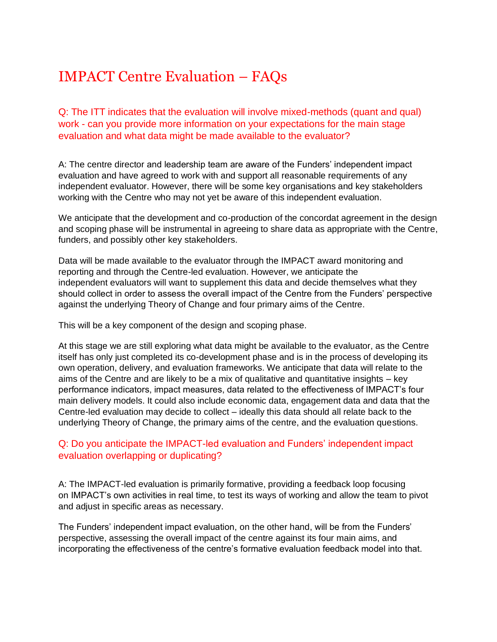# IMPACT Centre Evaluation – FAQs

Q: The ITT indicates that the evaluation will involve mixed-methods (quant and qual) work - can you provide more information on your expectations for the main stage evaluation and what data might be made available to the evaluator?

A: The centre director and leadership team are aware of the Funders' independent impact evaluation and have agreed to work with and support all reasonable requirements of any independent evaluator. However, there will be some key organisations and key stakeholders working with the Centre who may not yet be aware of this independent evaluation.

We anticipate that the development and co-production of the concordat agreement in the design and scoping phase will be instrumental in agreeing to share data as appropriate with the Centre, funders, and possibly other key stakeholders.

Data will be made available to the evaluator through the IMPACT award monitoring and reporting and through the Centre-led evaluation. However, we anticipate the independent evaluators will want to supplement this data and decide themselves what they should collect in order to assess the overall impact of the Centre from the Funders' perspective against the underlying Theory of Change and four primary aims of the Centre.

This will be a key component of the design and scoping phase.

At this stage we are still exploring what data might be available to the evaluator, as the Centre itself has only just completed its co-development phase and is in the process of developing its own operation, delivery, and evaluation frameworks. We anticipate that data will relate to the aims of the Centre and are likely to be a mix of qualitative and quantitative insights – key performance indicators, impact measures, data related to the effectiveness of IMPACT's four main delivery models. It could also include economic data, engagement data and data that the Centre-led evaluation may decide to collect – ideally this data should all relate back to the underlying Theory of Change, the primary aims of the centre, and the evaluation questions.

# Q: Do you anticipate the IMPACT-led evaluation and Funders' independent impact evaluation overlapping or duplicating?

A: The IMPACT-led evaluation is primarily formative, providing a feedback loop focusing on IMPACT's own activities in real time, to test its ways of working and allow the team to pivot and adjust in specific areas as necessary.

The Funders' independent impact evaluation, on the other hand, will be from the Funders' perspective, assessing the overall impact of the centre against its four main aims, and incorporating the effectiveness of the centre's formative evaluation feedback model into that.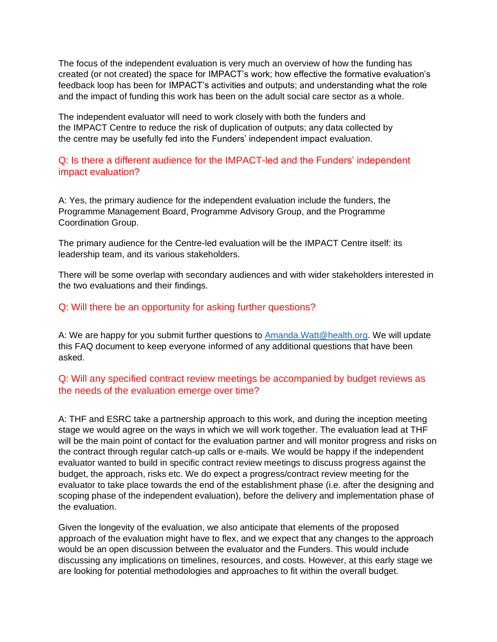The focus of the independent evaluation is very much an overview of how the funding has created (or not created) the space for IMPACT's work; how effective the formative evaluation's feedback loop has been for IMPACT's activities and outputs; and understanding what the role and the impact of funding this work has been on the adult social care sector as a whole.

The independent evaluator will need to work closely with both the funders and the IMPACT Centre to reduce the risk of duplication of outputs; any data collected by the centre may be usefully fed into the Funders' independent impact evaluation.

# Q: Is there a different audience for the IMPACT-led and the Funders' independent impact evaluation?

A: Yes, the primary audience for the independent evaluation include the funders, the Programme Management Board, Programme Advisory Group, and the Programme Coordination Group.

The primary audience for the Centre-led evaluation will be the IMPACT Centre itself: its leadership team, and its various stakeholders.

There will be some overlap with secondary audiences and with wider stakeholders interested in the two evaluations and their findings.

# Q: Will there be an opportunity for asking further questions?

A: We are happy for you submit further questions to [Amanda.Watt@health.org.](mailto:Amanda.Watt@health.org) We will update this FAQ document to keep everyone informed of any additional questions that have been asked.

# Q: Will any specified contract review meetings be accompanied by budget reviews as the needs of the evaluation emerge over time?

A: THF and ESRC take a partnership approach to this work, and during the inception meeting stage we would agree on the ways in which we will work together. The evaluation lead at THF will be the main point of contact for the evaluation partner and will monitor progress and risks on the contract through regular catch-up calls or e-mails. We would be happy if the independent evaluator wanted to build in specific contract review meetings to discuss progress against the budget, the approach, risks etc. We do expect a progress/contract review meeting for the evaluator to take place towards the end of the establishment phase (i.e. after the designing and scoping phase of the independent evaluation), before the delivery and implementation phase of the evaluation.

Given the longevity of the evaluation, we also anticipate that elements of the proposed approach of the evaluation might have to flex, and we expect that any changes to the approach would be an open discussion between the evaluator and the Funders. This would include discussing any implications on timelines, resources, and costs. However, at this early stage we are looking for potential methodologies and approaches to fit within the overall budget.